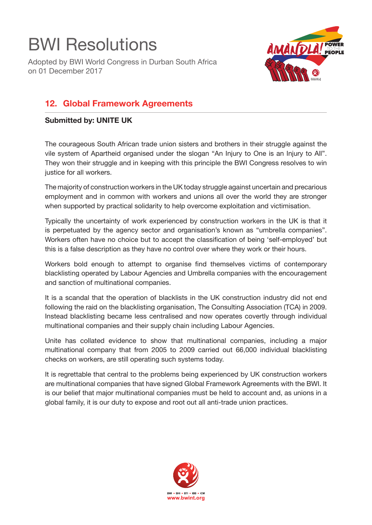## BWI Resolutions

Adopted by BWI World Congress in Durban South Africa on 01 December 2017



## **12. Global Framework Agreements**

## **Submitted by: UNITE UK**

The courageous South African trade union sisters and brothers in their struggle against the vile system of Apartheid organised under the slogan "An Injury to One is an Injury to All". They won their struggle and in keeping with this principle the BWI Congress resolves to win justice for all workers.

The majority of construction workers in the UK today struggle against uncertain and precarious employment and in common with workers and unions all over the world they are stronger when supported by practical solidarity to help overcome exploitation and victimisation.

Typically the uncertainty of work experienced by construction workers in the UK is that it is perpetuated by the agency sector and organisation's known as "umbrella companies". Workers often have no choice but to accept the classification of being 'self-employed' but this is a false description as they have no control over where they work or their hours.

Workers bold enough to attempt to organise find themselves victims of contemporary blacklisting operated by Labour Agencies and Umbrella companies with the encouragement and sanction of multinational companies.

It is a scandal that the operation of blacklists in the UK construction industry did not end following the raid on the blacklisting organisation, The Consulting Association (TCA) in 2009. Instead blacklisting became less centralised and now operates covertly through individual multinational companies and their supply chain including Labour Agencies.

Unite has collated evidence to show that multinational companies, including a major multinational company that from 2005 to 2009 carried out 66,000 individual blacklisting checks on workers, are still operating such systems today.

It is regrettable that central to the problems being experienced by UK construction workers are multinational companies that have signed Global Framework Agreements with the BWI. It is our belief that major multinational companies must be held to account and, as unions in a global family, it is our duty to expose and root out all anti-trade union practices.